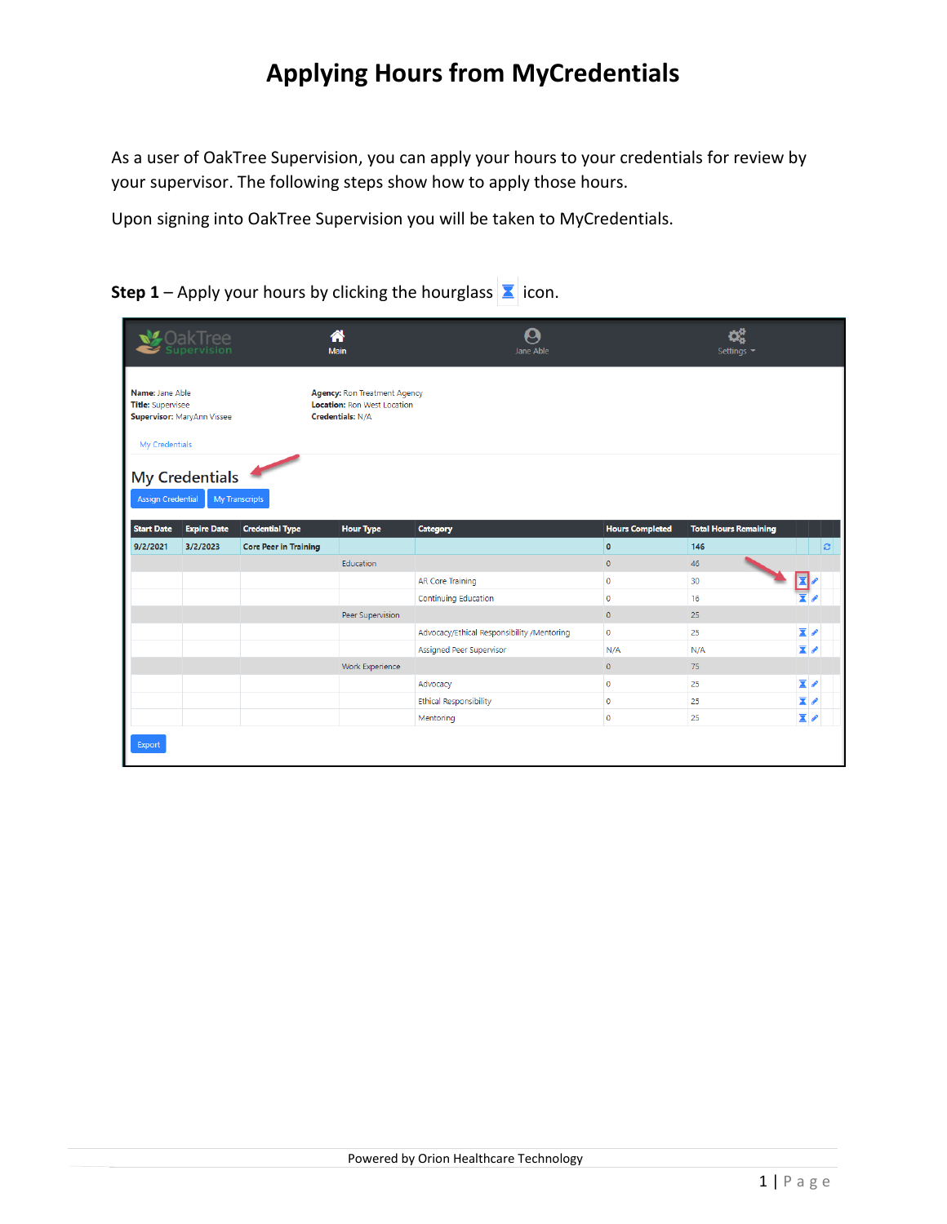As a user of OakTree Supervision, you can apply your hours to your credentials for review by your supervisor. The following steps show how to apply those hours.

Upon signing into OakTree Supervision you will be taken to MyCredentials.

|                                             | <b>OakTree</b><br>Supervision |                              | А<br>Main                                                                                     | Jane Able                                  |                             | Settings -                   |                                                      |
|---------------------------------------------|-------------------------------|------------------------------|-----------------------------------------------------------------------------------------------|--------------------------------------------|-----------------------------|------------------------------|------------------------------------------------------|
| Name: Jane Able<br><b>Title:</b> Supervisee | Supervisor: MaryAnn Vissee    |                              | Agency: Ron Treatment Agency<br><b>Location: Ron West Location</b><br><b>Credentials: N/A</b> |                                            |                             |                              |                                                      |
| My Credentials                              |                               |                              |                                                                                               |                                            |                             |                              |                                                      |
| <b>Assign Credential</b>                    | <b>My Credentials</b>         | My Transcripts               |                                                                                               |                                            |                             |                              |                                                      |
| <b>Start Date</b>                           | <b>Expire Date</b>            | <b>Credential Type</b>       | <b>Hour Type</b>                                                                              | Category                                   | <b>Hours Completed</b>      | <b>Total Hours Remaining</b> |                                                      |
| 9/2/2021                                    | 3/2/2023                      | <b>Core Peer in Training</b> |                                                                                               |                                            | $\bullet$                   | 146                          | ø                                                    |
|                                             |                               |                              | Education                                                                                     |                                            | $\overline{0}$              |                              |                                                      |
|                                             |                               |                              |                                                                                               |                                            |                             | 46                           |                                                      |
|                                             |                               |                              |                                                                                               | <b>AR Core Training</b>                    | $\mathbf 0$                 | 30                           | 凮                                                    |
|                                             |                               |                              |                                                                                               | Continuing Education                       | $\mathbf 0$                 | 16                           |                                                      |
|                                             |                               |                              | Peer Supervision                                                                              |                                            | $\circ$                     | 25                           |                                                      |
|                                             |                               |                              |                                                                                               | Advocacy/Ethical Responsibility /Mentoring | $\mathbf{0}$                | 25                           | $\overline{\mathbf{x}}$                              |
|                                             |                               |                              |                                                                                               | Assigned Peer Supervisor                   | N/A                         | N/A                          | $\overline{\mathbf{x}}$                              |
|                                             |                               |                              | Work Experience                                                                               |                                            | $\mathbf{0}$                | 75                           |                                                      |
|                                             |                               |                              |                                                                                               | Advocacy                                   | $\mathbf 0$                 | 25                           | $\overline{\mathbf{x}}$                              |
|                                             |                               |                              |                                                                                               | <b>Ethical Responsibility</b><br>Mentoring | $\mathbf{0}$<br>$\mathbf 0$ | 25                           | $\overline{\mathbf{x}}$ p<br>$\overline{\mathbf{x}}$ |

**Step 1** – Apply your hours by clicking the hourglass  $\boxed{\mathbf{X}}$  icon.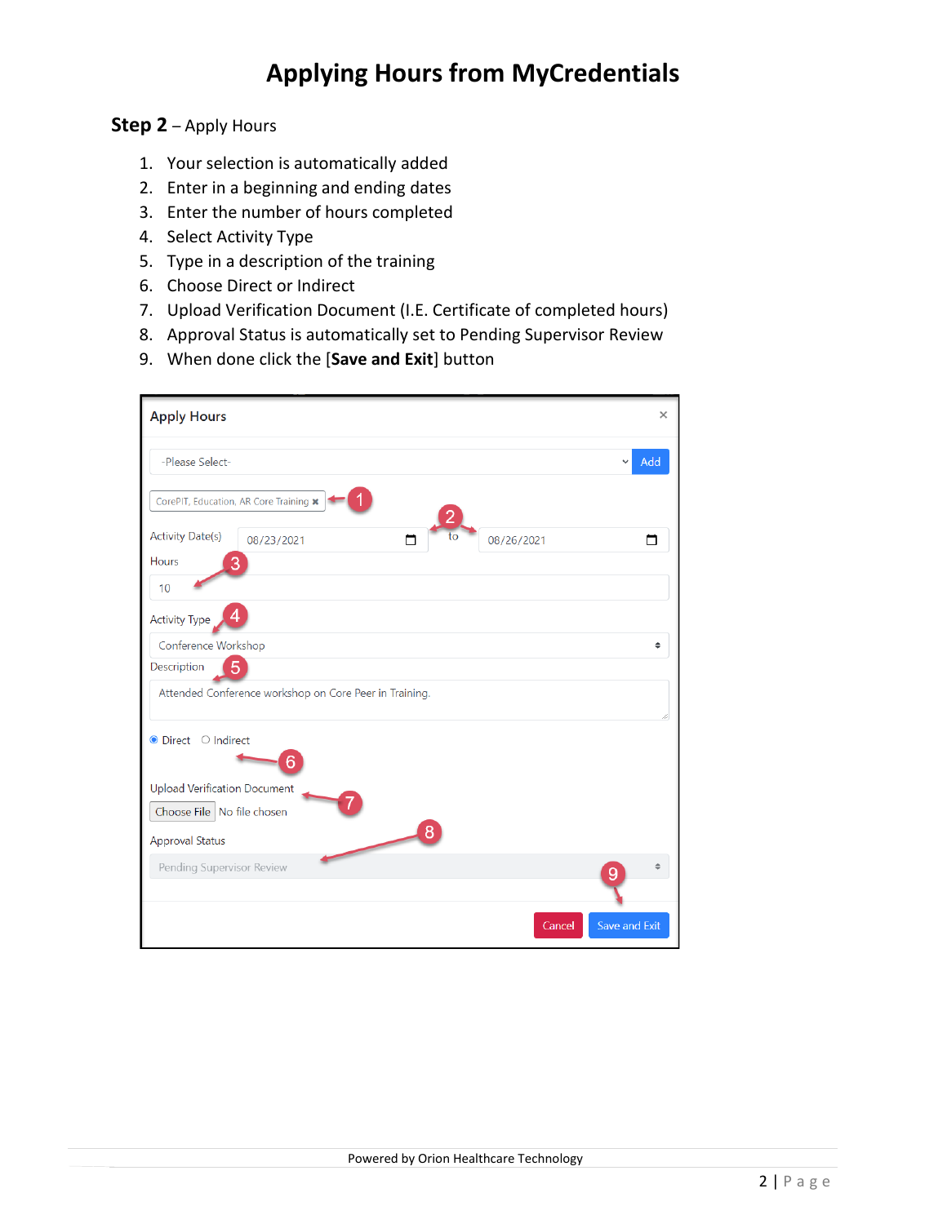#### **Step 2** – Apply Hours

- 1. Your selection is automatically added
- 2. Enter in a beginning and ending dates
- 3. Enter the number of hours completed
- 4. Select Activity Type
- 5. Type in a description of the training
- 6. Choose Direct or Indirect
- 7. Upload Verification Document (I.E. Certificate of completed hours)
- 8. Approval Status is automatically set to Pending Supervisor Review
- 9. When done click the [**Save and Exit**] button

| <b>Apply Hours</b>                                     | ×                       |
|--------------------------------------------------------|-------------------------|
| -Please Select-                                        | Add                     |
| CorePIT, Education, AR Core Training *                 |                         |
| <b>Activity Date(s)</b><br>to<br>08/23/2021<br>m       | 08/26/2021              |
| <b>Hours</b>                                           |                         |
| 10                                                     |                         |
| <b>Activity Type</b>                                   |                         |
| Conference Workshop                                    |                         |
| Description<br>5                                       |                         |
| Attended Conference workshop on Core Peer in Training. |                         |
| ● Direct ○ Indirect<br>6                               |                         |
| <b>Upload Verification Document</b>                    |                         |
| Choose File   No file chosen                           |                         |
| 8<br>Approval Status                                   |                         |
| Pending Supervisor Review                              | 9                       |
|                                                        |                         |
|                                                        | Save and Exit<br>Cancel |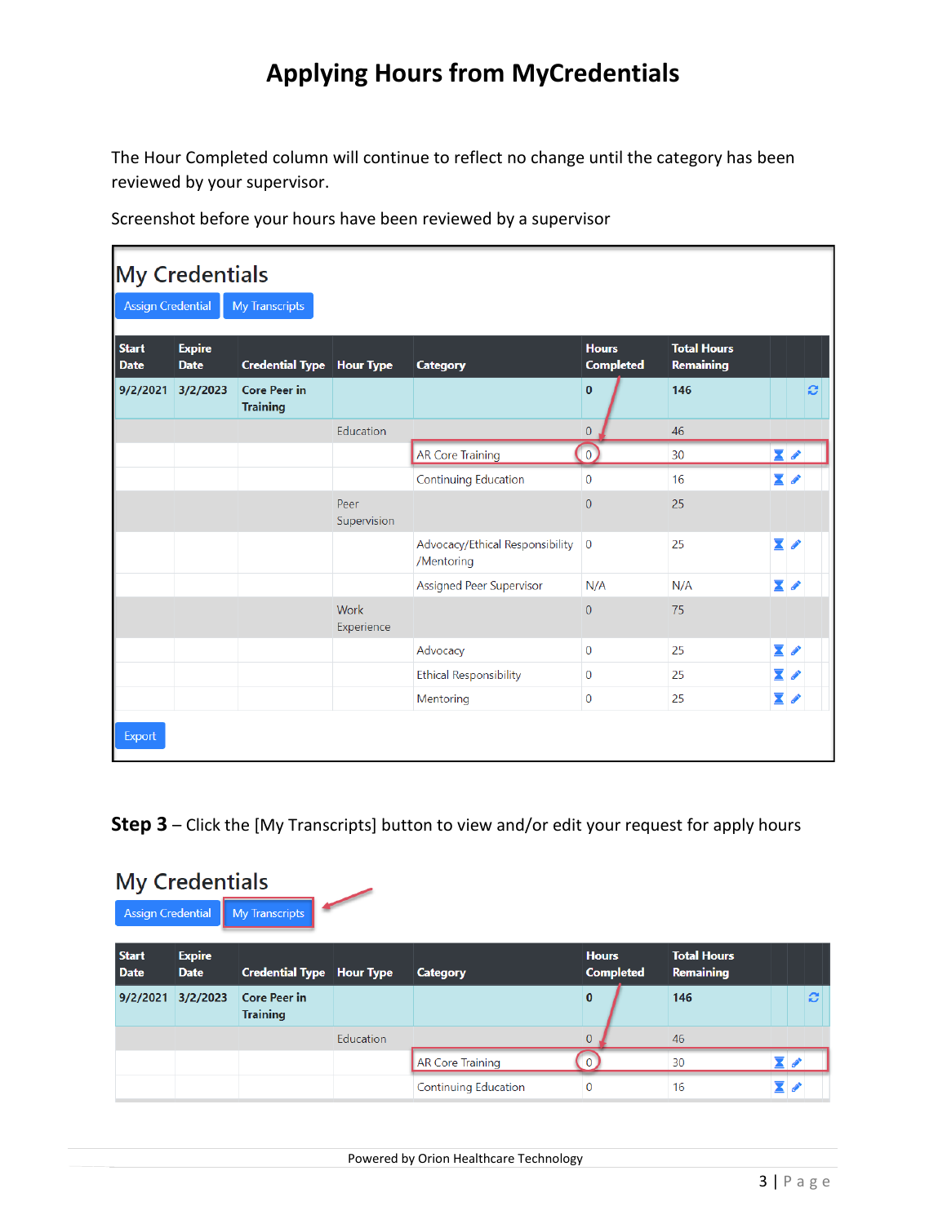The Hour Completed column will continue to reflect no change until the category has been reviewed by your supervisor.

| <b>My Credentials</b>                             |                              |                                        |                     |                                               |                                  |                                 |                         |   |  |
|---------------------------------------------------|------------------------------|----------------------------------------|---------------------|-----------------------------------------------|----------------------------------|---------------------------------|-------------------------|---|--|
| <b>Assign Credential</b><br><b>My Transcripts</b> |                              |                                        |                     |                                               |                                  |                                 |                         |   |  |
| <b>Start</b><br><b>Date</b>                       | <b>Expire</b><br><b>Date</b> | <b>Credential Type Hour Type</b>       |                     | <b>Category</b>                               | <b>Hours</b><br><b>Completed</b> | <b>Total Hours</b><br>Remaining |                         |   |  |
| 9/2/2021                                          | 3/2/2023                     | <b>Core Peer in</b><br><b>Training</b> |                     |                                               | $\mathbf{0}$                     | 146                             |                         | Ø |  |
|                                                   |                              |                                        | Education           |                                               | $\overline{0}$                   | 46                              |                         |   |  |
|                                                   |                              |                                        |                     | <b>AR Core Training</b>                       | $\overline{0}$                   | 30                              | $\overline{\mathbf{X}}$ |   |  |
|                                                   |                              |                                        |                     | Continuing Education                          | $\mathbf 0$                      | 16                              | $\mathbf{Z}$ d          |   |  |
|                                                   |                              |                                        | Peer<br>Supervision |                                               | $\overline{0}$                   | 25                              |                         |   |  |
|                                                   |                              |                                        |                     | Advocacy/Ethical Responsibility<br>/Mentoring | $\overline{0}$                   | 25                              | $\overline{\mathbf{X}}$ |   |  |
|                                                   |                              |                                        |                     | <b>Assigned Peer Supervisor</b>               | N/A                              | N/A                             | <b>X</b>                |   |  |
|                                                   |                              |                                        | Work<br>Experience  |                                               | $\overline{0}$                   | 75                              |                         |   |  |
|                                                   |                              |                                        |                     | Advocacy                                      | $\bf{0}$                         | 25                              | $\overline{\mathbf{X}}$ |   |  |
|                                                   |                              |                                        |                     | <b>Ethical Responsibility</b>                 | $\mathbf 0$                      | 25                              | $\overline{\mathbf{X}}$ |   |  |
|                                                   |                              |                                        |                     | Mentoring                                     | $\mathbf{0}$                     | 25                              | $\overline{\bm{z}}$ /   |   |  |

**Step 3** – Click the [My Transcripts] button to view and/or edit your request for apply hours

| <b>My Credentials</b><br>My Transcripts<br><b>Assign Credential</b> |                              |                                        |           |                             |                                  |                                 |                  |  |
|---------------------------------------------------------------------|------------------------------|----------------------------------------|-----------|-----------------------------|----------------------------------|---------------------------------|------------------|--|
| <b>Start</b><br><b>Date</b>                                         | <b>Expire</b><br><b>Date</b> | <b>Credential Type   Hour Type</b>     |           | <b>Category</b>             | <b>Hours</b><br><b>Completed</b> | <b>Total Hours</b><br>Remaining |                  |  |
| 9/2/2021                                                            | 3/2/2023                     | <b>Core Peer in</b><br><b>Training</b> |           |                             | $\bf{0}$                         | 146                             | $\boldsymbol{c}$ |  |
|                                                                     |                              |                                        | Education |                             | $\Omega$                         | 46                              |                  |  |
|                                                                     |                              |                                        |           | <b>AR Core Training</b>     |                                  | 30                              | 70               |  |
|                                                                     |                              |                                        |           | <b>Continuing Education</b> | $\mathbf 0$                      | 16                              | X.               |  |